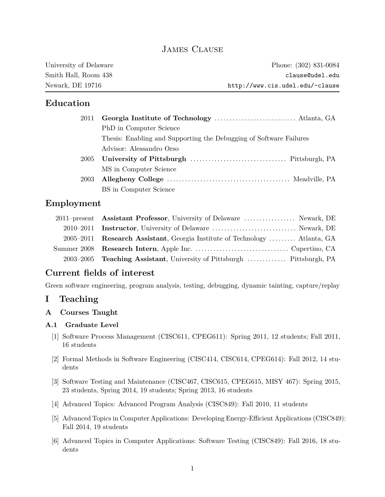# **JAMES CLAUSE**

| University of Delaware | Phone: (302) 831-0084           |
|------------------------|---------------------------------|
| Smith Hall, Room 438   | clause@udel.edu                 |
| Newark, DE 19716       | http://www.cis.udel.edu/~clause |

# **Education**

|      | PhD in Computer Science                                            |
|------|--------------------------------------------------------------------|
|      | Thesis: Enabling and Supporting the Debugging of Software Failures |
|      | Advisor: Alessandro Orso                                           |
| 2005 |                                                                    |
|      | MS in Computer Science                                             |
| 2003 |                                                                    |
|      | BS in Computer Science                                             |

# **Employment**

| 2011–present Assistant Professor, University of Delaware  Newark, DE       |
|----------------------------------------------------------------------------|
| 2010–2011 Instructor, University of Delaware  Newark, DE                   |
| 2005–2011 Research Assistant, Georgia Institute of Technology  Atlanta, GA |
|                                                                            |
| 2003–2005 Teaching Assistant, University of Pittsburgh  Pittsburgh, PA     |

# **Current fields of interest**

Green software engineering, program analysis, testing, debugging, dynamic tainting, capture/replay

# **I Teaching**

**A Courses Taught**

### **A.1 Graduate Level**

- [1] Software Process Management (CISC611, CPEG611): Spring 2011, 12 students; Fall 2011, 16 students
- [2] Formal Methods in Software Engineering (CISC414, CISC614, CPEG614): Fall 2012, 14 students
- [3] Software Testing and Maintenance (CISC467, CISC615, CPEG615, MISY 467): Spring 2015, 23 students, Spring 2014, 19 students; Spring 2013, 16 students
- [4] Advanced Topics: Advanced Program Analysis (CISC849): Fall 2010, 11 students
- [5] Advanced Topics in Computer Applications: Developing Energy-Efficient Applications (CISC849): Fall 2014, 19 students
- [6] Advanced Topics in Computer Applications: Software Testing (CISC849): Fall 2016, 18 students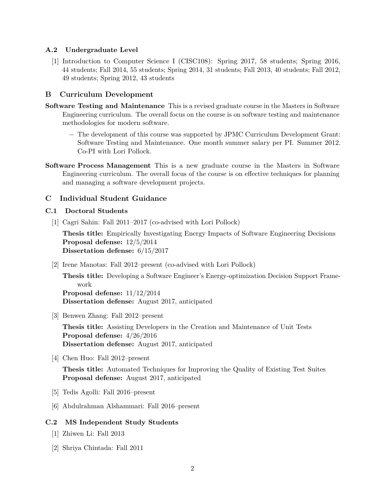### **A.2 Undergraduate Level**

[1] Introduction to Computer Science I (CISC108): Spring 2017, 58 students; Spring 2016, 44 students; Fall 2014, 55 students; Spring 2014, 31 students; Fall 2013, 40 students; Fall 2012, 49 students; Spring 2012, 43 students

### **B Curriculum Development**

- **Software Testing and Maintenance** This is a revised graduate course in the Masters in Software Engineering curriculum. The overall focus on the course is on software testing and maintenance methodologies for modern software.
	- − The development of this course was supported by JPMC Curriculum Development Grant: Software Testing and Maintenance. One month summer salary per PI. Summer 2012. Co-PI with Lori Pollock.
- **Software Process Management** This is a new graduate course in the Masters in Software Engineering curriculum. The overall focus of the course is on effective techniques for planning and managing a software development projects.

### **C Individual Student Guidance**

#### **C.1 Doctoral Students**

[1] Cagri Sahin: Fall 2011–2017 (co-advised with Lori Pollock)

**Thesis title:** Empirically Investigating Energy Impacts of Software Engineering Decisions **Proposal defense:** 12/5/2014 **Dissertation defense:** 6/15/2017

[2] Irene Manotas: Fall 2012–present (co-advised with Lori Pollock)

**Thesis title:** Developing a Software Engineer's Energy-optimization Decision Support Framework **Proposal defense:** 11/12/2014 **Dissertation defense:** August 2017, anticipated

[3] Benwen Zhang: Fall 2012–present

**Thesis title:** Assisting Developers in the Creation and Maintenance of Unit Tests **Proposal defense:** 4/26/2016 **Dissertation defense:** August 2017, anticipated

[4] Chen Huo: Fall 2012–present

**Thesis title:** Automated Techniques for Improving the Quality of Existing Test Suites **Proposal defense:** August 2017, anticipated

- [5] Tedis Agolli: Fall 2016–present
- [6] Abdulrahman Alshammari: Fall 2016–present

#### **C.2 MS Independent Study Students**

- [1] Zhiwen Li: Fall 2013
- [2] Shriya Chintada: Fall 2011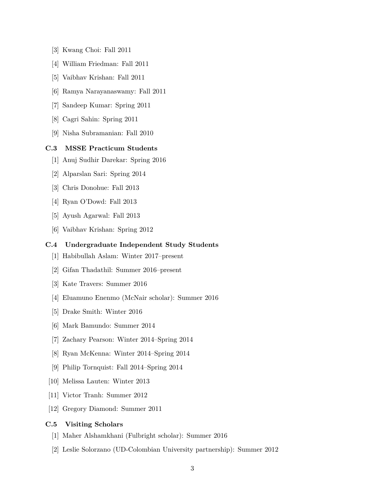- [3] Kwang Choi: Fall 2011
- [4] William Friedman: Fall 2011
- [5] Vaibhav Krishan: Fall 2011
- [6] Ramya Narayanaswamy: Fall 2011
- [7] Sandeep Kumar: Spring 2011
- [8] Cagri Sahin: Spring 2011
- [9] Nisha Subramanian: Fall 2010

### **C.3 MSSE Practicum Students**

- [1] Anuj Sudhir Darekar: Spring 2016
- [2] Alparslan Sari: Spring 2014
- [3] Chris Donohue: Fall 2013
- [4] Ryan O'Dowd: Fall 2013
- [5] Ayush Agarwal: Fall 2013
- [6] Vaibhav Krishan: Spring 2012

### **C.4 Undergraduate Independent Study Students**

- [1] Habibullah Aslam: Winter 2017–present
- [2] Gifan Thadathil: Summer 2016–present
- [3] Kate Travers: Summer 2016
- [4] Eluamuno Enenmo (McNair scholar): Summer 2016
- [5] Drake Smith: Winter 2016
- [6] Mark Bamundo: Summer 2014
- [7] Zachary Pearson: Winter 2014–Spring 2014
- [8] Ryan McKenna: Winter 2014–Spring 2014
- [9] Philip Tornquist: Fall 2014–Spring 2014
- [10] Melissa Lauten: Winter 2013
- [11] Victor Tranh: Summer 2012
- [12] Gregory Diamond: Summer 2011

### **C.5 Visiting Scholars**

- [1] Maher Alshamkhani (Fulbright scholar): Summer 2016
- [2] Leslie Solorzano (UD-Colombian University partnership): Summer 2012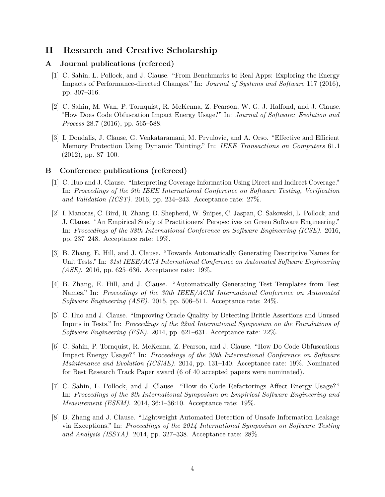# **II Research and Creative Scholarship**

#### **A Journal publications (refereed)**

- [1] C. Sahin, L. Pollock, and J. Clause. "From Benchmarks to Real Apps: Exploring the Energy Impacts of Performance-directed Changes." In: *Journal of Systems and Software* 117 (2016), pp. 307–316.
- [2] C. Sahin, M. Wan, P. Tornquist, R. McKenna, Z. Pearson, W. G. J. Halfond, and J. Clause. "How Does Code Obfuscation Impact Energy Usage?" In: *Journal of Software: Evolution and Process* 28.7 (2016), pp. 565–588.
- [3] I. Doudalis, J. Clause, G. Venkataramani, M. Prvulovic, and A. Orso. "Effective and Efficient Memory Protection Using Dynamic Tainting." In: *IEEE Transactions on Computers* 61.1 (2012), pp. 87–100.

#### **B Conference publications (refereed)**

- [1] C. Huo and J. Clause. "Interpreting Coverage Information Using Direct and Indirect Coverage." In: *Proceedings of the 9th IEEE International Conference on Software Testing, Verification and Validation (ICST)*. 2016, pp. 234–243. Acceptance rate: 27%.
- [2] I. Manotas, C. Bird, R. Zhang, D. Shepherd, W. Snipes, C. Jaspan, C. Sakowski, L. Pollock, and J. Clause. "An Empirical Study of Practitioners' Perspectives on Green Software Engineering." In: *Proceedings of the 38th International Conference on Software Engineering (ICSE)*. 2016, pp. 237–248. Acceptance rate: 19%.
- [3] B. Zhang, E. Hill, and J. Clause. "Towards Automatically Generating Descriptive Names for Unit Tests." In: *31st IEEE/ACM International Conference on Automated Software Engineering (ASE)*. 2016, pp. 625–636. Acceptance rate: 19%.
- [4] B. Zhang, E. Hill, and J. Clause. "Automatically Generating Test Templates from Test Names." In: *Proceedings of the 30th IEEE/ACM International Conference on Automated Software Engineering (ASE)*. 2015, pp. 506–511. Acceptance rate: 24%.
- [5] C. Huo and J. Clause. "Improving Oracle Quality by Detecting Brittle Assertions and Unused Inputs in Tests." In: *Proceedings of the 22nd International Symposium on the Foundations of Software Engineering (FSE)*. 2014, pp. 621–631. Acceptance rate: 22%.
- [6] C. Sahin, P. Tornquist, R. McKenna, Z. Pearson, and J. Clause. "How Do Code Obfuscations Impact Energy Usage?" In: *Proceedings of the 30th International Conference on Software Maintenance and Evolution (ICSME)*. 2014, pp. 131–140. Acceptance rate: 19%. Nominated for Best Research Track Paper award (6 of 40 accepted papers were nominated).
- [7] C. Sahin, L. Pollock, and J. Clause. "How do Code Refactorings Affect Energy Usage?" In: *Proceedings of the 8th International Symposium on Empirical Software Engineering and Measurement (ESEM)*. 2014, 36:1–36:10. Acceptance rate: 19%.
- [8] B. Zhang and J. Clause. "Lightweight Automated Detection of Unsafe Information Leakage via Exceptions." In: *Proceedings of the 2014 International Symposium on Software Testing and Analysis (ISSTA)*. 2014, pp. 327–338. Acceptance rate: 28%.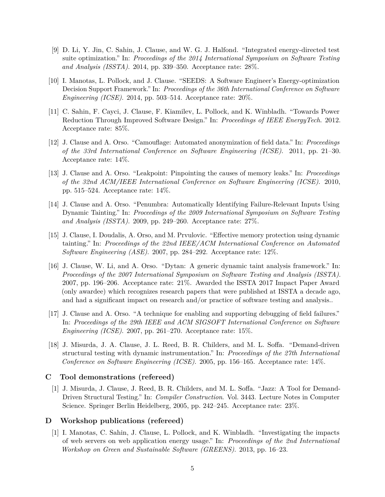- [9] D. Li, Y. Jin, C. Sahin, J. Clause, and W. G. J. Halfond. "Integrated energy-directed test suite optimization." In: *Proceedings of the 2014 International Symposium on Software Testing and Analysis (ISSTA)*. 2014, pp. 339–350. Acceptance rate: 28%.
- [10] I. Manotas, L. Pollock, and J. Clause. "SEEDS: A Software Engineer's Energy-optimization Decision Support Framework." In: *Proceedings of the 36th International Conference on Software Engineering (ICSE)*. 2014, pp. 503–514. Acceptance rate: 20%.
- [11] C. Sahin, F. Cayci, J. Clause, F. Kiamilev, L. Pollock, and K. Winbladh. "Towards Power Reduction Through Improved Software Design." In: *Proceedings of IEEE EnergyTech*. 2012. Acceptance rate: 85%.
- [12] J. Clause and A. Orso. "Camouflage: Automated anonymization of field data." In: *Proceedings of the 33rd International Conference on Software Engineering (ICSE)*. 2011, pp. 21–30. Acceptance rate: 14%.
- [13] J. Clause and A. Orso. "Leakpoint: Pinpointing the causes of memory leaks." In: *Proceedings of the 32nd ACM/IEEE International Conference on Software Engineering (ICSE)*. 2010, pp. 515–524. Acceptance rate: 14%.
- [14] J. Clause and A. Orso. "Penumbra: Automatically Identifying Failure-Relevant Inputs Using Dynamic Tainting." In: *Proceedings of the 2009 International Symposium on Software Testing and Analysis (ISSTA)*. 2009, pp. 249–260. Acceptance rate: 27%.
- [15] J. Clause, I. Doudalis, A. Orso, and M. Prvulovic. "Effective memory protection using dynamic tainting." In: *Proceedings of the 22nd IEEE/ACM International Conference on Automated Software Engineering (ASE)*. 2007, pp. 284–292. Acceptance rate: 12%.
- [16] J. Clause, W. Li, and A. Orso. "Dytan: A generic dynamic taint analysis framework." In: *Proceedings of the 2007 International Symposium on Software Testing and Analysis (ISSTA)*. 2007, pp. 196–206. Acceptance rate: 21%. Awarded the ISSTA 2017 Impact Paper Award (only awardee) which recognizes research papers that were published at ISSTA a decade ago, and had a significant impact on research and/or practice of software testing and analysis..
- [17] J. Clause and A. Orso. "A technique for enabling and supporting debugging of field failures." In: *Proceedings of the 29th IEEE and ACM SIGSOFT International Conference on Software Engineering (ICSE)*. 2007, pp. 261–270. Acceptance rate: 15%.
- [18] J. Misurda, J. A. Clause, J. L. Reed, B. R. Childers, and M. L. Soffa. "Demand-driven structural testing with dynamic instrumentation." In: *Proceedings of the 27th International Conference on Software Engineering (ICSE)*. 2005, pp. 156–165. Acceptance rate: 14%.

### **C Tool demonstrations (refereed)**

[1] J. Misurda, J. Clause, J. Reed, B. R. Childers, and M. L. Soffa. "Jazz: A Tool for Demand-Driven Structural Testing." In: *Compiler Construction*. Vol. 3443. Lecture Notes in Computer Science. Springer Berlin Heidelberg, 2005, pp. 242–245. Acceptance rate: 23%.

### **D Workshop publications (refereed)**

[1] I. Manotas, C. Sahin, J. Clause, L. Pollock, and K. Winbladh. "Investigating the impacts of web servers on web application energy usage." In: *Proceedings of the 2nd International Workshop on Green and Sustainable Software (GREENS)*. 2013, pp. 16–23.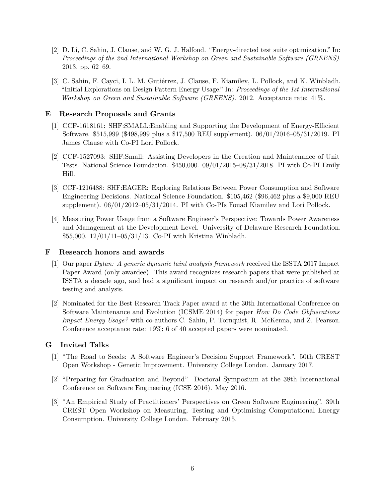- [2] D. Li, C. Sahin, J. Clause, and W. G. J. Halfond. "Energy-directed test suite optimization." In: *Proceedings of the 2nd International Workshop on Green and Sustainable Software (GREENS)*. 2013, pp. 62–69.
- [3] C. Sahin, F. Cayci, I. L. M. Gutiérrez, J. Clause, F. Kiamilev, L. Pollock, and K. Winbladh. "Initial Explorations on Design Pattern Energy Usage." In: *Proceedings of the 1st International Workshop on Green and Sustainable Software (GREENS)*. 2012. Acceptance rate: 41%.

### **E Research Proposals and Grants**

- [1] CCF-1618161: SHF:SMALL:Enabling and Supporting the Development of Energy-Efficient Software. \$515*,*999 (\$498*,*999 plus a \$17*,*500 REU supplement). 06/01/2016–05/31/2019. PI James Clause with Co-PI Lori Pollock.
- [2] CCF-1527093: SHF:Small: Assisting Developers in the Creation and Maintenance of Unit Tests. National Science Foundation. \$450*,*000. 09/01/2015–08/31/2018. PI with Co-PI Emily Hill.
- [3] CCF-1216488: SHF:EAGER: Exploring Relations Between Power Consumption and Software Engineering Decisions. National Science Foundation. \$105*,*462 (\$96*,*462 plus a \$9*,*000 REU supplement). 06/01/2012–05/31/2014. PI with Co-PIs Fouad Kiamilev and Lori Pollock.
- [4] Measuring Power Usage from a Software Engineer's Perspective: Towards Power Awareness and Management at the Development Level. University of Delaware Research Foundation. \$55*,*000. 12/01/11–05/31/13. Co-PI with Kristina Winbladh.

### **F Research honors and awards**

- [1] Our paper *Dytan: A generic dynamic taint analysis framework* received the ISSTA 2017 Impact Paper Award (only awardee). This award recognizes research papers that were published at ISSTA a decade ago, and had a significant impact on research and/or practice of software testing and analysis.
- [2] Nominated for the Best Research Track Paper award at the 30th International Conference on Software Maintenance and Evolution (ICSME 2014) for paper *How Do Code Obfuscations Impact Energy Usage?* with co-authors C. Sahin, P. Tornquist, R. McKenna, and Z. Pearson. Conference acceptance rate: 19%; 6 of 40 accepted papers were nominated.

## **G Invited Talks**

- [1] "The Road to Seeds: A Software Engineer's Decision Support Framework". 50th CREST Open Workshop - Genetic Improvement. University College London. January 2017.
- [2] "Preparing for Graduation and Beyond". Doctoral Symposium at the 38th International Conference on Software Engineering (ICSE 2016). May 2016.
- [3] "An Empirical Study of Practitioners' Perspectives on Green Software Engineering". 39th CREST Open Workshop on Measuring, Testing and Optimising Computational Energy Consumption. University College London. February 2015.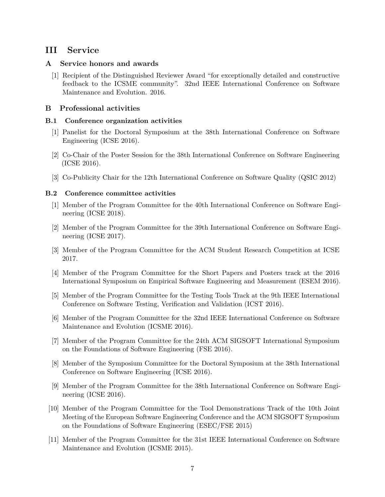# **III Service**

### **A Service honors and awards**

[1] Recipient of the Distinguished Reviewer Award "for exceptionally detailed and constructive feedback to the ICSME community". 32nd IEEE International Conference on Software Maintenance and Evolution. 2016.

### **B Professional activities**

### **B.1 Conference organization activities**

- [1] Panelist for the Doctoral Symposium at the 38th International Conference on Software Engineering (ICSE 2016).
- [2] Co-Chair of the Poster Session for the 38th International Conference on Software Engineering (ICSE 2016).
- [3] Co-Publicity Chair for the 12th International Conference on Software Quality (QSIC 2012)

### **B.2 Conference committee activities**

- [1] Member of the Program Committee for the 40th International Conference on Software Engineering (ICSE 2018).
- [2] Member of the Program Committee for the 39th International Conference on Software Engineering (ICSE 2017).
- [3] Member of the Program Committee for the ACM Student Research Competition at ICSE 2017.
- [4] Member of the Program Committee for the Short Papers and Posters track at the 2016 International Symposium on Empirical Software Engineering and Measurement (ESEM 2016).
- [5] Member of the Program Committee for the Testing Tools Track at the 9th IEEE International Conference on Software Testing, Verification and Validation (ICST 2016).
- [6] Member of the Program Committee for the 32nd IEEE International Conference on Software Maintenance and Evolution (ICSME 2016).
- [7] Member of the Program Committee for the 24th ACM SIGSOFT International Symposium on the Foundations of Software Engineering (FSE 2016).
- [8] Member of the Symposium Committee for the Doctoral Symposium at the 38th International Conference on Software Engineering (ICSE 2016).
- [9] Member of the Program Committee for the 38th International Conference on Software Engineering (ICSE 2016).
- [10] Member of the Program Committee for the Tool Demonstrations Track of the 10th Joint Meeting of the European Software Engineering Conference and the ACM SIGSOFT Symposium on the Foundations of Software Engineering (ESEC/FSE 2015)
- [11] Member of the Program Committee for the 31st IEEE International Conference on Software Maintenance and Evolution (ICSME 2015).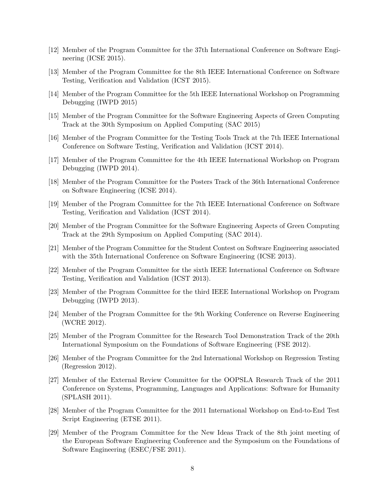- [12] Member of the Program Committee for the 37th International Conference on Software Engineering (ICSE 2015).
- [13] Member of the Program Committee for the 8th IEEE International Conference on Software Testing, Verification and Validation (ICST 2015).
- [14] Member of the Program Committee for the 5th IEEE International Workshop on Programming Debugging (IWPD 2015)
- [15] Member of the Program Committee for the Software Engineering Aspects of Green Computing Track at the 30th Symposium on Applied Computing (SAC 2015)
- [16] Member of the Program Committee for the Testing Tools Track at the 7th IEEE International Conference on Software Testing, Verification and Validation (ICST 2014).
- [17] Member of the Program Committee for the 4th IEEE International Workshop on Program Debugging (IWPD 2014).
- [18] Member of the Program Committee for the Posters Track of the 36th International Conference on Software Engineering (ICSE 2014).
- [19] Member of the Program Committee for the 7th IEEE International Conference on Software Testing, Verification and Validation (ICST 2014).
- [20] Member of the Program Committee for the Software Engineering Aspects of Green Computing Track at the 29th Symposium on Applied Computing (SAC 2014).
- [21] Member of the Program Committee for the Student Contest on Software Engineering associated with the 35th International Conference on Software Engineering (ICSE 2013).
- [22] Member of the Program Committee for the sixth IEEE International Conference on Software Testing, Verification and Validation (ICST 2013).
- [23] Member of the Program Committee for the third IEEE International Workshop on Program Debugging (IWPD 2013).
- [24] Member of the Program Committee for the 9th Working Conference on Reverse Engineering (WCRE 2012).
- [25] Member of the Program Committee for the Research Tool Demonstration Track of the 20th International Symposium on the Foundations of Software Engineering (FSE 2012).
- [26] Member of the Program Committee for the 2nd International Workshop on Regression Testing (Regression 2012).
- [27] Member of the External Review Committee for the OOPSLA Research Track of the 2011 Conference on Systems, Programming, Languages and Applications: Software for Humanity (SPLASH 2011).
- [28] Member of the Program Committee for the 2011 International Workshop on End-to-End Test Script Engineering (ETSE 2011).
- [29] Member of the Program Committee for the New Ideas Track of the 8th joint meeting of the European Software Engineering Conference and the Symposium on the Foundations of Software Engineering (ESEC/FSE 2011).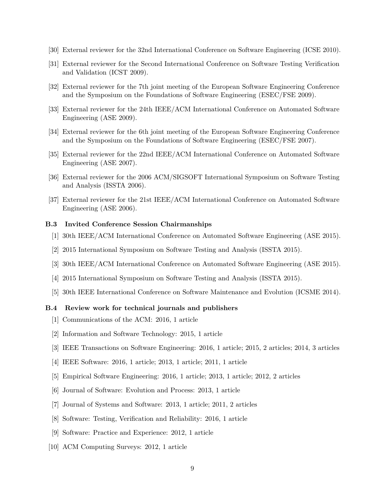- [30] External reviewer for the 32nd International Conference on Software Engineering (ICSE 2010).
- [31] External reviewer for the Second International Conference on Software Testing Verification and Validation (ICST 2009).
- [32] External reviewer for the 7th joint meeting of the European Software Engineering Conference and the Symposium on the Foundations of Software Engineering (ESEC/FSE 2009).
- [33] External reviewer for the 24th IEEE/ACM International Conference on Automated Software Engineering (ASE 2009).
- [34] External reviewer for the 6th joint meeting of the European Software Engineering Conference and the Symposium on the Foundations of Software Engineering (ESEC/FSE 2007).
- [35] External reviewer for the 22nd IEEE/ACM International Conference on Automated Software Engineering (ASE 2007).
- [36] External reviewer for the 2006 ACM/SIGSOFT International Symposium on Software Testing and Analysis (ISSTA 2006).
- [37] External reviewer for the 21st IEEE/ACM International Conference on Automated Software Engineering (ASE 2006).

#### **B.3 Invited Conference Session Chairmanships**

- [1] 30th IEEE/ACM International Conference on Automated Software Engineering (ASE 2015).
- [2] 2015 International Symposium on Software Testing and Analysis (ISSTA 2015).
- [3] 30th IEEE/ACM International Conference on Automated Software Engineering (ASE 2015).
- [4] 2015 International Symposium on Software Testing and Analysis (ISSTA 2015).
- [5] 30th IEEE International Conference on Software Maintenance and Evolution (ICSME 2014).

#### **B.4 Review work for technical journals and publishers**

- [1] Communications of the ACM: 2016, 1 article
- [2] Information and Software Technology: 2015, 1 article
- [3] IEEE Transactions on Software Engineering: 2016, 1 article; 2015, 2 articles; 2014, 3 articles
- [4] IEEE Software: 2016, 1 article; 2013, 1 article; 2011, 1 article
- [5] Empirical Software Engineering: 2016, 1 article; 2013, 1 article; 2012, 2 articles
- [6] Journal of Software: Evolution and Process: 2013, 1 article
- [7] Journal of Systems and Software: 2013, 1 article; 2011, 2 articles
- [8] Software: Testing, Verification and Reliability: 2016, 1 article
- [9] Software: Practice and Experience: 2012, 1 article
- [10] ACM Computing Surveys: 2012, 1 article